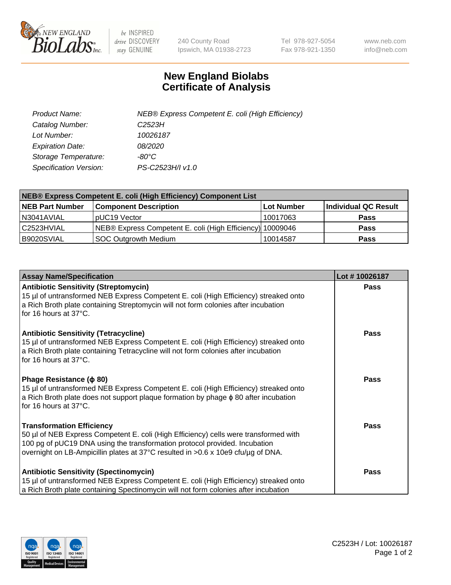

 $be$  INSPIRED drive DISCOVERY stay GENUINE

240 County Road Ipswich, MA 01938-2723 Tel 978-927-5054 Fax 978-921-1350 www.neb.com info@neb.com

## **New England Biolabs Certificate of Analysis**

| Product Name:                 | NEB® Express Competent E. coli (High Efficiency) |
|-------------------------------|--------------------------------------------------|
| Catalog Number:               | C <sub>2523</sub> H                              |
| Lot Number:                   | 10026187                                         |
| <b>Expiration Date:</b>       | <i>08/2020</i>                                   |
| Storage Temperature:          | -80°C                                            |
| <b>Specification Version:</b> | PS-C2523H/I v1.0                                 |

| <b>NEB® Express Competent E. coli (High Efficiency) Component List</b> |                                                           |            |                      |  |
|------------------------------------------------------------------------|-----------------------------------------------------------|------------|----------------------|--|
| <b>NEB Part Number</b>                                                 | <b>Component Description</b>                              | Lot Number | Individual QC Result |  |
| N3041AVIAL                                                             | pUC19 Vector                                              | 10017063   | <b>Pass</b>          |  |
| l C2523HVIAL                                                           | NEB® Express Competent E. coli (High Efficiency) 10009046 |            | <b>Pass</b>          |  |
| B9020SVIAL                                                             | <b>SOC Outgrowth Medium</b>                               | 10014587   | <b>Pass</b>          |  |

| <b>Assay Name/Specification</b>                                                                                                                                                                                                                                                            | Lot #10026187 |
|--------------------------------------------------------------------------------------------------------------------------------------------------------------------------------------------------------------------------------------------------------------------------------------------|---------------|
| <b>Antibiotic Sensitivity (Streptomycin)</b><br>15 µl of untransformed NEB Express Competent E. coli (High Efficiency) streaked onto<br>a Rich Broth plate containing Streptomycin will not form colonies after incubation<br>for 16 hours at 37°C.                                        | <b>Pass</b>   |
| <b>Antibiotic Sensitivity (Tetracycline)</b><br>15 µl of untransformed NEB Express Competent E. coli (High Efficiency) streaked onto<br>a Rich Broth plate containing Tetracycline will not form colonies after incubation<br>for 16 hours at 37°C.                                        | <b>Pass</b>   |
| Phage Resistance ( $\phi$ 80)<br>15 µl of untransformed NEB Express Competent E. coli (High Efficiency) streaked onto<br>a Rich Broth plate does not support plaque formation by phage $\phi$ 80 after incubation<br>for 16 hours at 37°C.                                                 | Pass          |
| <b>Transformation Efficiency</b><br>50 µl of NEB Express Competent E. coli (High Efficiency) cells were transformed with<br>100 pg of pUC19 DNA using the transformation protocol provided. Incubation<br>overnight on LB-Ampicillin plates at 37°C resulted in >0.6 x 10e9 cfu/µg of DNA. | <b>Pass</b>   |
| <b>Antibiotic Sensitivity (Spectinomycin)</b><br>15 µl of untransformed NEB Express Competent E. coli (High Efficiency) streaked onto<br>a Rich Broth plate containing Spectinomycin will not form colonies after incubation                                                               | Pass          |